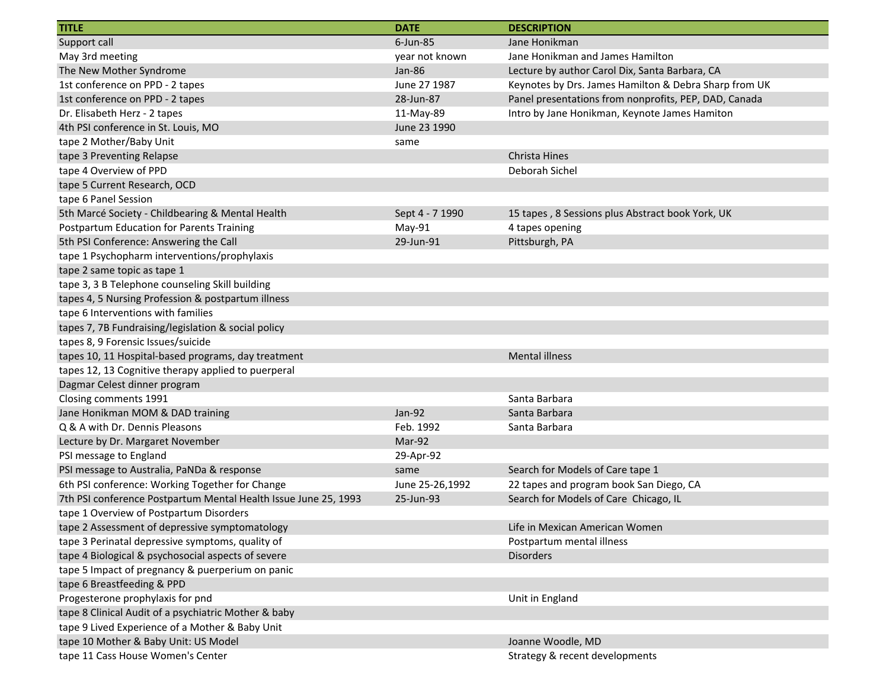| <b>TITLE</b>                                                    | <b>DATE</b>     | <b>DESCRIPTION</b>                                    |
|-----------------------------------------------------------------|-----------------|-------------------------------------------------------|
| Support call                                                    | $6$ -Jun-85     | Jane Honikman                                         |
| May 3rd meeting                                                 | year not known  | Jane Honikman and James Hamilton                      |
| The New Mother Syndrome                                         | Jan-86          | Lecture by author Carol Dix, Santa Barbara, CA        |
| 1st conference on PPD - 2 tapes                                 | June 27 1987    | Keynotes by Drs. James Hamilton & Debra Sharp from UK |
| 1st conference on PPD - 2 tapes                                 | 28-Jun-87       | Panel presentations from nonprofits, PEP, DAD, Canada |
| Dr. Elisabeth Herz - 2 tapes                                    | 11-May-89       | Intro by Jane Honikman, Keynote James Hamiton         |
| 4th PSI conference in St. Louis, MO                             | June 23 1990    |                                                       |
| tape 2 Mother/Baby Unit                                         | same            |                                                       |
| tape 3 Preventing Relapse                                       |                 | Christa Hines                                         |
| tape 4 Overview of PPD                                          |                 | Deborah Sichel                                        |
| tape 5 Current Research, OCD                                    |                 |                                                       |
| tape 6 Panel Session                                            |                 |                                                       |
| 5th Marcé Society - Childbearing & Mental Health                | Sept 4 - 7 1990 | 15 tapes, 8 Sessions plus Abstract book York, UK      |
| Postpartum Education for Parents Training                       | May-91          | 4 tapes opening                                       |
| 5th PSI Conference: Answering the Call                          | 29-Jun-91       | Pittsburgh, PA                                        |
| tape 1 Psychopharm interventions/prophylaxis                    |                 |                                                       |
| tape 2 same topic as tape 1                                     |                 |                                                       |
| tape 3, 3 B Telephone counseling Skill building                 |                 |                                                       |
| tapes 4, 5 Nursing Profession & postpartum illness              |                 |                                                       |
| tape 6 Interventions with families                              |                 |                                                       |
| tapes 7, 7B Fundraising/legislation & social policy             |                 |                                                       |
| tapes 8, 9 Forensic Issues/suicide                              |                 |                                                       |
| tapes 10, 11 Hospital-based programs, day treatment             |                 | <b>Mental illness</b>                                 |
| tapes 12, 13 Cognitive therapy applied to puerperal             |                 |                                                       |
| Dagmar Celest dinner program                                    |                 |                                                       |
| Closing comments 1991                                           |                 | Santa Barbara                                         |
| Jane Honikman MOM & DAD training                                | Jan-92          | Santa Barbara                                         |
| Q & A with Dr. Dennis Pleasons                                  | Feb. 1992       | Santa Barbara                                         |
| Lecture by Dr. Margaret November                                | Mar-92          |                                                       |
| PSI message to England                                          | 29-Apr-92       |                                                       |
| PSI message to Australia, PaNDa & response                      | same            | Search for Models of Care tape 1                      |
| 6th PSI conference: Working Together for Change                 | June 25-26,1992 | 22 tapes and program book San Diego, CA               |
| 7th PSI conference Postpartum Mental Health Issue June 25, 1993 | 25-Jun-93       | Search for Models of Care Chicago, IL                 |
| tape 1 Overview of Postpartum Disorders                         |                 |                                                       |
| tape 2 Assessment of depressive symptomatology                  |                 | Life in Mexican American Women                        |
| tape 3 Perinatal depressive symptoms, quality of                |                 | Postpartum mental illness                             |
| tape 4 Biological & psychosocial aspects of severe              |                 | <b>Disorders</b>                                      |
| tape 5 Impact of pregnancy & puerperium on panic                |                 |                                                       |
| tape 6 Breastfeeding & PPD                                      |                 |                                                       |
| Progesterone prophylaxis for pnd                                |                 | Unit in England                                       |
| tape 8 Clinical Audit of a psychiatric Mother & baby            |                 |                                                       |
| tape 9 Lived Experience of a Mother & Baby Unit                 |                 |                                                       |
| tape 10 Mother & Baby Unit: US Model                            |                 | Joanne Woodle, MD                                     |
| tape 11 Cass House Women's Center                               |                 | Strategy & recent developments                        |